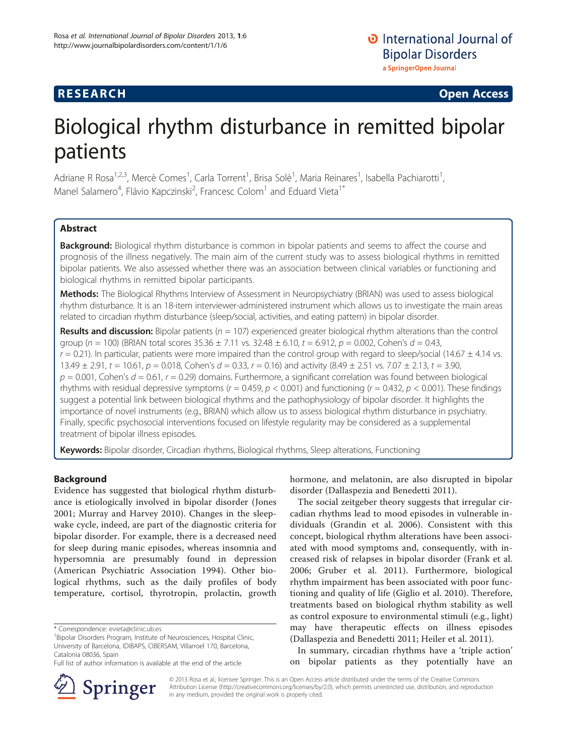## **RESEARCH CHE Open Access**

# Biological rhythm disturbance in remitted bipolar patients

Adriane R Rosa<sup>1,2,3</sup>, Mercè Comes<sup>1</sup>, Carla Torrent<sup>1</sup>, Brisa Solè<sup>1</sup>, Maria Reinares<sup>1</sup>, Isabella Pachiarotti<sup>1</sup> , Manel Salamero<sup>4</sup>, Flávio Kapczinski<sup>2</sup>, Francesc Colom<sup>1</sup> and Eduard Vieta<sup>1\*</sup>

## Abstract

Background: Biological rhythm disturbance is common in bipolar patients and seems to affect the course and prognosis of the illness negatively. The main aim of the current study was to assess biological rhythms in remitted bipolar patients. We also assessed whether there was an association between clinical variables or functioning and biological rhythms in remitted bipolar participants.

Methods: The Biological Rhythms Interview of Assessment in Neuropsychiatry (BRIAN) was used to assess biological rhythm disturbance. It is an 18-item interviewer-administered instrument which allows us to investigate the main areas related to circadian rhythm disturbance (sleep/social, activities, and eating pattern) in bipolar disorder.

**Results and discussion:** Bipolar patients ( $n = 107$ ) experienced greater biological rhythm alterations than the control group ( $n = 100$ ) (BRIAN total scores 35.36  $\pm$  7.11 vs. 32.48  $\pm$  6.10,  $t = 6.912$ ,  $p = 0.002$ , Cohen's  $d = 0.43$ ,  $r = 0.21$ ). In particular, patients were more impaired than the control group with regard to sleep/social (14.67  $\pm$  4.14 vs.  $13.49 \pm 2.91$ ,  $t = 10.61$ ,  $p = 0.018$ , Cohen's  $d = 0.33$ ,  $r = 0.16$ ) and activity  $(8.49 \pm 2.51$  vs. 7.07  $\pm$  2.13,  $t = 3.90$ ,  $p = 0.001$ , Cohen's  $d = 0.61$ ,  $r = 0.29$ ) domains. Furthermore, a significant correlation was found between biological rhythms with residual depressive symptoms ( $r = 0.459$ ,  $p < 0.001$ ) and functioning ( $r = 0.432$ ,  $p < 0.001$ ). These findings suggest a potential link between biological rhythms and the pathophysiology of bipolar disorder. It highlights the importance of novel instruments (e.g., BRIAN) which allow us to assess biological rhythm disturbance in psychiatry. Finally, specific psychosocial interventions focused on lifestyle regularity may be considered as a supplemental treatment of bipolar illness episodes.

Keywords: Bipolar disorder, Circadian rhythms, Biological rhythms, Sleep alterations, Functioning

## Background

Evidence has suggested that biological rhythm disturbance is etiologically involved in bipolar disorder (Jones [2001;](#page-5-0) Murray and Harvey [2010\)](#page-5-0). Changes in the sleepwake cycle, indeed, are part of the diagnostic criteria for bipolar disorder. For example, there is a decreased need for sleep during manic episodes, whereas insomnia and hypersomnia are presumably found in depression (American Psychiatric Association [1994\)](#page-4-0). Other biological rhythms, such as the daily profiles of body temperature, cortisol, thyrotropin, prolactin, growth



The social zeitgeber theory suggests that irregular circadian rhythms lead to mood episodes in vulnerable individuals (Grandin et al. [2006\)](#page-5-0). Consistent with this concept, biological rhythm alterations have been associated with mood symptoms and, consequently, with increased risk of relapses in bipolar disorder (Frank et al. [2006;](#page-5-0) Gruber et al. [2011](#page-5-0)). Furthermore, biological rhythm impairment has been associated with poor functioning and quality of life (Giglio et al. [2010\)](#page-5-0). Therefore, treatments based on biological rhythm stability as well as control exposure to environmental stimuli (e.g., light) may have therapeutic effects on illness episodes (Dallaspezia and Benedetti [2011;](#page-5-0) Heiler et al. [2011](#page-5-0)).

In summary, circadian rhythms have a 'triple action' on bipolar patients as they potentially have an



© 2013 Rosa et al.; licensee Springer. This is an Open Access article distributed under the terms of the Creative Commons Attribution License [\(http://creativecommons.org/licenses/by/2.0\)](http://creativecommons.org/licenses/by/2.0), which permits unrestricted use, distribution, and reproduction in any medium, provided the original work is properly cited.

<sup>\*</sup> Correspondence: [evieta@clinic.ub.es](mailto:evieta@clinic.ub.es) <sup>1</sup>

<sup>&</sup>lt;sup>1</sup>Bipolar Disorders Program, Institute of Neurosciences, Hospital Clinic, University of Barcelona, IDIBAPS, CIBERSAM, Villarroel 170, Barcelona, Catalonia 08036, Spain

Full list of author information is available at the end of the article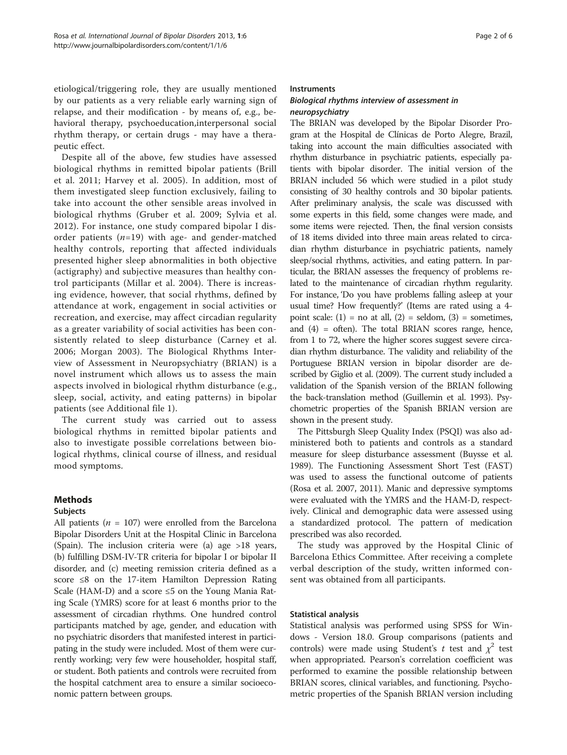etiological/triggering role, they are usually mentioned by our patients as a very reliable early warning sign of relapse, and their modification - by means of, e.g., behavioral therapy, psychoeducation,interpersonal social rhythm therapy, or certain drugs - may have a therapeutic effect.

Despite all of the above, few studies have assessed biological rhythms in remitted bipolar patients (Brill et al. [2011](#page-4-0); Harvey et al. [2005\)](#page-5-0). In addition, most of them investigated sleep function exclusively, failing to take into account the other sensible areas involved in biological rhythms (Gruber et al. [2009;](#page-5-0) Sylvia et al. [2012](#page-5-0)). For instance, one study compared bipolar I disorder patients  $(n=19)$  with age- and gender-matched healthy controls, reporting that affected individuals presented higher sleep abnormalities in both objective (actigraphy) and subjective measures than healthy control participants (Millar et al. [2004](#page-5-0)). There is increasing evidence, however, that social rhythms, defined by attendance at work, engagement in social activities or recreation, and exercise, may affect circadian regularity as a greater variability of social activities has been consistently related to sleep disturbance (Carney et al. [2006](#page-4-0); Morgan [2003\)](#page-5-0). The Biological Rhythms Interview of Assessment in Neuropsychiatry (BRIAN) is a novel instrument which allows us to assess the main aspects involved in biological rhythm disturbance (e.g., sleep, social, activity, and eating patterns) in bipolar patients (see Additional file [1\)](#page-4-0).

The current study was carried out to assess biological rhythms in remitted bipolar patients and also to investigate possible correlations between biological rhythms, clinical course of illness, and residual mood symptoms.

## Methods

## Subjects

All patients ( $n = 107$ ) were enrolled from the Barcelona Bipolar Disorders Unit at the Hospital Clinic in Barcelona (Spain). The inclusion criteria were (a) age >18 years, (b) fulfilling DSM-IV-TR criteria for bipolar I or bipolar II disorder, and (c) meeting remission criteria defined as a score ≤8 on the 17-item Hamilton Depression Rating Scale (HAM-D) and a score  $\leq 5$  on the Young Mania Rating Scale (YMRS) score for at least 6 months prior to the assessment of circadian rhythms. One hundred control participants matched by age, gender, and education with no psychiatric disorders that manifested interest in participating in the study were included. Most of them were currently working; very few were householder, hospital staff, or student. Both patients and controls were recruited from the hospital catchment area to ensure a similar socioeconomic pattern between groups.

### **Instruments**

## Biological rhythms interview of assessment in

The BRIAN was developed by the Bipolar Disorder Program at the Hospital de Clínicas de Porto Alegre, Brazil, taking into account the main difficulties associated with rhythm disturbance in psychiatric patients, especially patients with bipolar disorder. The initial version of the BRIAN included 56 which were studied in a pilot study consisting of 30 healthy controls and 30 bipolar patients. After preliminary analysis, the scale was discussed with some experts in this field, some changes were made, and some items were rejected. Then, the final version consists of 18 items divided into three main areas related to circadian rhythm disturbance in psychiatric patients, namely sleep/social rhythms, activities, and eating pattern. In particular, the BRIAN assesses the frequency of problems related to the maintenance of circadian rhythm regularity. For instance, 'Do you have problems falling asleep at your usual time? How frequently?' (Items are rated using a 4 point scale:  $(1)$  = no at all,  $(2)$  = seldom,  $(3)$  = sometimes, and  $(4)$  = often). The total BRIAN scores range, hence, from 1 to 72, where the higher scores suggest severe circadian rhythm disturbance. The validity and reliability of the Portuguese BRIAN version in bipolar disorder are described by Giglio et al. ([2009\)](#page-5-0). The current study included a validation of the Spanish version of the BRIAN following the back-translation method (Guillemin et al. [1993\)](#page-5-0). Psychometric properties of the Spanish BRIAN version are shown in the present study.

The Pittsburgh Sleep Quality Index (PSQI) was also administered both to patients and controls as a standard measure for sleep disturbance assessment (Buysse et al. [1989](#page-4-0)). The Functioning Assessment Short Test (FAST) was used to assess the functional outcome of patients (Rosa et al. [2007, 2011](#page-5-0)). Manic and depressive symptoms were evaluated with the YMRS and the HAM-D, respectively. Clinical and demographic data were assessed using a standardized protocol. The pattern of medication prescribed was also recorded.

The study was approved by the Hospital Clinic of Barcelona Ethics Committee. After receiving a complete verbal description of the study, written informed consent was obtained from all participants.

## Statistical analysis

Statistical analysis was performed using SPSS for Windows - Version 18.0. Group comparisons (patients and controls) were made using Student's t test and  $\chi^2$  test when appropriated. Pearson's correlation coefficient was performed to examine the possible relationship between BRIAN scores, clinical variables, and functioning. Psychometric properties of the Spanish BRIAN version including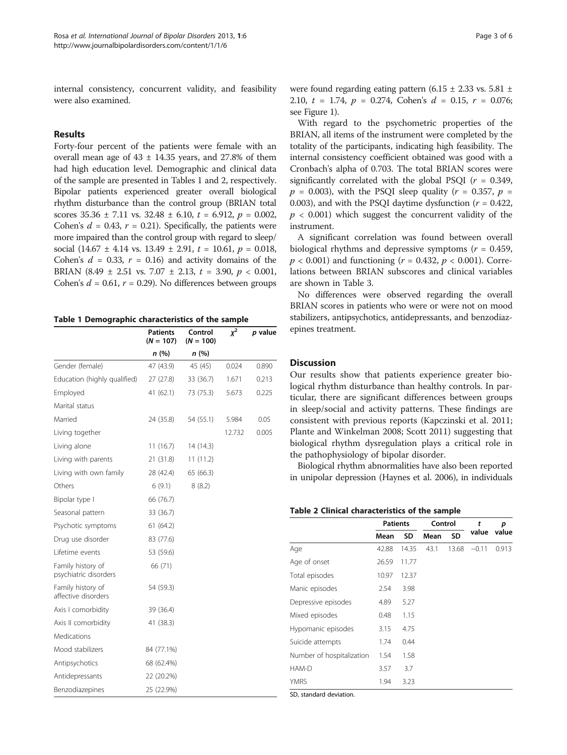internal consistency, concurrent validity, and feasibility were also examined.

## Results

Forty-four percent of the patients were female with an overall mean age of  $43 \pm 14.35$  years, and 27.8% of them had high education level. Demographic and clinical data of the sample are presented in Tables 1 and 2, respectively. Bipolar patients experienced greater overall biological rhythm disturbance than the control group (BRIAN total scores  $35.36 \pm 7.11$  vs.  $32.48 \pm 6.10$ ,  $t = 6.912$ ,  $p = 0.002$ , Cohen's  $d = 0.43$ ,  $r = 0.21$ ). Specifically, the patients were more impaired than the control group with regard to sleep/ social (14.67  $\pm$  4.14 vs. 13.49  $\pm$  2.91,  $t = 10.61$ ,  $p = 0.018$ , Cohen's  $d = 0.33$ ,  $r = 0.16$ ) and activity domains of the BRIAN  $(8.49 \pm 2.51 \text{ vs. } 7.07 \pm 2.13, t = 3.90, p < 0.001,$ Cohen's  $d = 0.61$ ,  $r = 0.29$ ). No differences between groups

Table 1 Demographic characteristics of the sample

|                                            | <b>Patients</b><br>$(N = 107)$ | Control<br>$(N = 100)$ | $x^2$  | p value |
|--------------------------------------------|--------------------------------|------------------------|--------|---------|
|                                            | n(%)                           | n(%)                   |        |         |
| Gender (female)                            | 47 (43.9)                      | 45 (45)                | 0.024  | 0.890   |
| Education (highly qualified)               | 27 (27.8)                      | 33 (36.7)              | 1.671  | 0.213   |
| Employed                                   | 41(62.1)                       | 73 (75.3)              | 5.673  | 0.225   |
| Marital status                             |                                |                        |        |         |
| Married                                    | 24 (35.8)                      | 54 (55.1)              | 5.984  | 0.05    |
| Living together                            |                                |                        | 12.732 | 0.005   |
| Living alone                               | 11(16.7)                       | 14 (14.3)              |        |         |
| Living with parents                        | 21(31.8)                       | 11(11.2)               |        |         |
| Living with own family                     | 28 (42.4)                      | 65 (66.3)              |        |         |
| Others                                     | 6(9.1)                         | 8(8.2)                 |        |         |
| Bipolar type I                             | 66 (76.7)                      |                        |        |         |
| Seasonal pattern                           | 33 (36.7)                      |                        |        |         |
| Psychotic symptoms                         | 61 (64.2)                      |                        |        |         |
| Drug use disorder                          | 83 (77.6)                      |                        |        |         |
| Lifetime events                            | 53 (59.6)                      |                        |        |         |
| Family history of<br>psychiatric disorders | 66 (71)                        |                        |        |         |
| Family history of<br>affective disorders   | 54 (59.3)                      |                        |        |         |
| Axis I comorbidity                         | 39 (36.4)                      |                        |        |         |
| Axis II comorbidity                        | 41 (38.3)                      |                        |        |         |
| Medications                                |                                |                        |        |         |
| Mood stabilizers                           | 84 (77.1%)                     |                        |        |         |
| Antipsychotics                             | 68 (62.4%)                     |                        |        |         |
| Antidepressants                            | 22 (20.2%)                     |                        |        |         |
| Benzodiazepines                            | 25 (22.9%)                     |                        |        |         |

were found regarding eating pattern (6.15  $\pm$  2.33 vs. 5.81  $\pm$ 2.10,  $t = 1.74$ ,  $p = 0.274$ , Cohen's  $d = 0.15$ ,  $r = 0.076$ ;

see Figure [1](#page-3-0)). With regard to the psychometric properties of the BRIAN, all items of the instrument were completed by the totality of the participants, indicating high feasibility. The internal consistency coefficient obtained was good with a Cronbach's alpha of 0.703. The total BRIAN scores were significantly correlated with the global PSQI ( $r = 0.349$ ,  $p = 0.003$ ), with the PSQI sleep quality ( $r = 0.357$ ,  $p =$ 0.003), and with the PSQI daytime dysfunction  $(r = 0.422,$  $p < 0.001$ ) which suggest the concurrent validity of the instrument.

A significant correlation was found between overall biological rhythms and depressive symptoms ( $r = 0.459$ ,  $p < 0.001$ ) and functioning ( $r = 0.432$ ,  $p < 0.001$ ). Correlations between BRIAN subscores and clinical variables are shown in Table [3](#page-3-0).

No differences were observed regarding the overall BRIAN scores in patients who were or were not on mood stabilizers, antipsychotics, antidepressants, and benzodiazepines treatment.

## **Discussion**

Our results show that patients experience greater biological rhythm disturbance than healthy controls. In particular, there are significant differences between groups in sleep/social and activity patterns. These findings are consistent with previous reports (Kapczinski et al. [2011](#page-5-0); Plante and Winkelman [2008;](#page-5-0) Scott [2011\)](#page-5-0) suggesting that biological rhythm dysregulation plays a critical role in the pathophysiology of bipolar disorder.

Biological rhythm abnormalities have also been reported in unipolar depression (Haynes et al. [2006](#page-5-0)), in individuals

| Table 2 Clinical characteristics of the sample |  |
|------------------------------------------------|--|
|------------------------------------------------|--|

|                           | <b>Patients</b> |       | Control |       | t       | р     |  |
|---------------------------|-----------------|-------|---------|-------|---------|-------|--|
|                           | Mean            | SD    | Mean    | SD    | value   | value |  |
| Age                       | 42.88           | 14.35 | 43.1    | 13.68 | $-0.11$ | 0.913 |  |
| Age of onset              | 26.59           | 11.77 |         |       |         |       |  |
| Total episodes            | 10.97           | 12.37 |         |       |         |       |  |
| Manic episodes            | 2.54            | 3.98  |         |       |         |       |  |
| Depressive episodes       | 4.89            | 5.27  |         |       |         |       |  |
| Mixed episodes            | 0.48            | 1.15  |         |       |         |       |  |
| Hypomanic episodes        | 3.15            | 4.75  |         |       |         |       |  |
| Suicide attempts          | 1.74            | 0.44  |         |       |         |       |  |
| Number of hospitalization | 1.54            | 1.58  |         |       |         |       |  |
| HAM-D                     | 3.57            | 3.7   |         |       |         |       |  |
| <b>YMRS</b>               | 1.94            | 3.23  |         |       |         |       |  |

SD, standard deviation.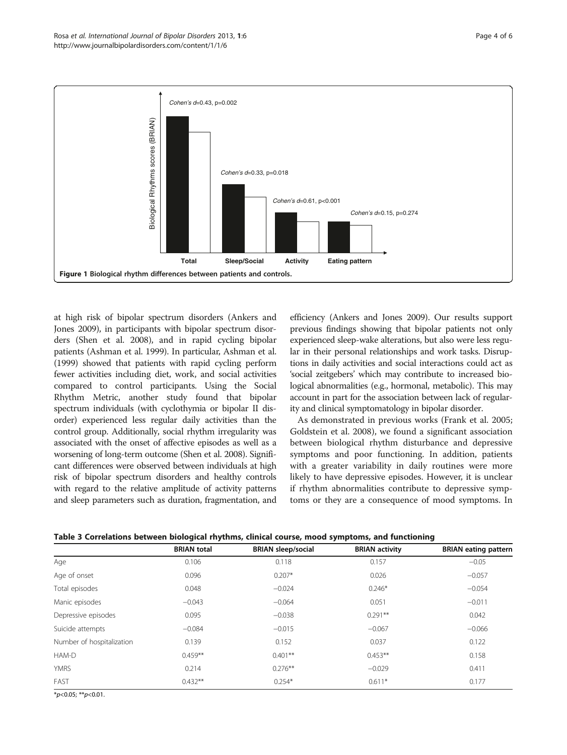

<span id="page-3-0"></span>

at high risk of bipolar spectrum disorders (Ankers and Jones [2009](#page-4-0)), in participants with bipolar spectrum disorders (Shen et al. [2008](#page-5-0)), and in rapid cycling bipolar patients (Ashman et al. [1999](#page-4-0)). In particular, Ashman et al. ([1999\)](#page-4-0) showed that patients with rapid cycling perform fewer activities including diet, work, and social activities compared to control participants. Using the Social Rhythm Metric, another study found that bipolar spectrum individuals (with cyclothymia or bipolar II disorder) experienced less regular daily activities than the control group. Additionally, social rhythm irregularity was associated with the onset of affective episodes as well as a worsening of long-term outcome (Shen et al. [2008\)](#page-5-0). Significant differences were observed between individuals at high risk of bipolar spectrum disorders and healthy controls with regard to the relative amplitude of activity patterns and sleep parameters such as duration, fragmentation, and

efficiency (Ankers and Jones [2009\)](#page-4-0). Our results support previous findings showing that bipolar patients not only experienced sleep-wake alterations, but also were less regular in their personal relationships and work tasks. Disruptions in daily activities and social interactions could act as 'social zeitgebers' which may contribute to increased biological abnormalities (e.g., hormonal, metabolic). This may account in part for the association between lack of regularity and clinical symptomatology in bipolar disorder.

As demonstrated in previous works (Frank et al. [2005](#page-5-0); Goldstein et al. [2008](#page-5-0)), we found a significant association between biological rhythm disturbance and depressive symptoms and poor functioning. In addition, patients with a greater variability in daily routines were more likely to have depressive episodes. However, it is unclear if rhythm abnormalities contribute to depressive symptoms or they are a consequence of mood symptoms. In

| Table 3 Correlations between biological rhythms, clinical course, mood symptoms, and functioning |  |  |  |  |  |  |  |  |  |  |  |
|--------------------------------------------------------------------------------------------------|--|--|--|--|--|--|--|--|--|--|--|
|--------------------------------------------------------------------------------------------------|--|--|--|--|--|--|--|--|--|--|--|

|                           | <b>BRIAN</b> total | <b>BRIAN sleep/social</b> | <b>BRIAN activity</b> | <b>BRIAN</b> eating pattern |
|---------------------------|--------------------|---------------------------|-----------------------|-----------------------------|
| Age                       | 0.106              | 0.118                     | 0.157                 | $-0.05$                     |
| Age of onset              | 0.096              | $0.207*$                  | 0.026                 | $-0.057$                    |
| Total episodes            | 0.048              | $-0.024$                  | $0.246*$              | $-0.054$                    |
| Manic episodes            | $-0.043$           | $-0.064$                  | 0.051                 | $-0.011$                    |
| Depressive episodes       | 0.095              | $-0.038$                  | $0.291**$             | 0.042                       |
| Suicide attempts          | $-0.084$           | $-0.015$                  | $-0.067$              | $-0.066$                    |
| Number of hospitalization | 0.139              | 0.152                     | 0.037                 | 0.122                       |
| HAM-D                     | $0.459**$          | $0.401**$                 | $0.453**$             | 0.158                       |
| <b>YMRS</b>               | 0.214              | $0.276**$                 | $-0.029$              | 0.411                       |
| FAST                      | $0.432**$          | $0.254*$                  | $0.611*$              | 0.177                       |

 $*_{p<0.05;}$   $*_{p<0.01}$ .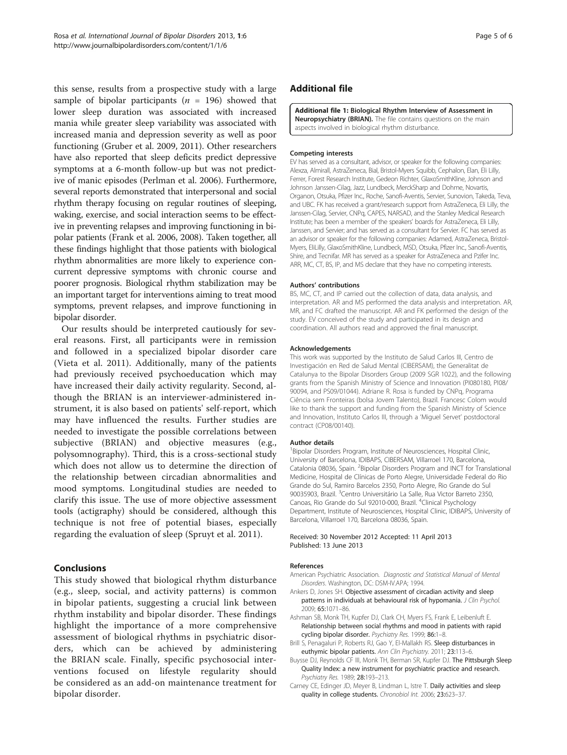<span id="page-4-0"></span>this sense, results from a prospective study with a large sample of bipolar participants ( $n = 196$ ) showed that lower sleep duration was associated with increased mania while greater sleep variability was associated with increased mania and depression severity as well as poor functioning (Gruber et al. [2009](#page-5-0), [2011](#page-5-0)). Other researchers have also reported that sleep deficits predict depressive symptoms at a 6-month follow-up but was not predictive of manic episodes (Perlman et al. [2006](#page-5-0)). Furthermore, several reports demonstrated that interpersonal and social rhythm therapy focusing on regular routines of sleeping, waking, exercise, and social interaction seems to be effective in preventing relapses and improving functioning in bipolar patients (Frank et al. [2006, 2008\)](#page-5-0). Taken together, all these findings highlight that those patients with biological rhythm abnormalities are more likely to experience concurrent depressive symptoms with chronic course and poorer prognosis. Biological rhythm stabilization may be an important target for interventions aiming to treat mood symptoms, prevent relapses, and improve functioning in bipolar disorder.

Our results should be interpreted cautiously for several reasons. First, all participants were in remission and followed in a specialized bipolar disorder care (Vieta et al. [2011](#page-5-0)). Additionally, many of the patients had previously received psychoeducation which may have increased their daily activity regularity. Second, although the BRIAN is an interviewer-administered instrument, it is also based on patients' self-report, which may have influenced the results. Further studies are needed to investigate the possible correlations between subjective (BRIAN) and objective measures (e.g., polysomnography). Third, this is a cross-sectional study which does not allow us to determine the direction of the relationship between circadian abnormalities and mood symptoms. Longitudinal studies are needed to clarify this issue. The use of more objective assessment tools (actigraphy) should be considered, although this technique is not free of potential biases, especially regarding the evaluation of sleep (Spruyt et al. [2011\)](#page-5-0).

## Conclusions

This study showed that biological rhythm disturbance (e.g., sleep, social, and activity patterns) is common in bipolar patients, suggesting a crucial link between rhythm instability and bipolar disorder. These findings highlight the importance of a more comprehensive assessment of biological rhythms in psychiatric disorders, which can be achieved by administering the BRIAN scale. Finally, specific psychosocial interventions focused on lifestyle regularity should be considered as an add-on maintenance treatment for bipolar disorder.

## Additional file

[Additional file 1:](http://www.biomedcentral.com/content/supplementary/2194-7511-1-6-S1.pdf) Biological Rhythm Interview of Assessment in Neuropsychiatry (BRIAN). The file contains questions on the main aspects involved in biological rhythm disturbance.

#### Competing interests

EV has served as a consultant, advisor, or speaker for the following companies: Alexza, Almirall, AstraZeneca, Bial, Bristol-Myers Squibb, Cephalon, Elan, Eli Lilly, Ferrer, Forest Research Institute, Gedeon Richter, GlaxoSmithKline, Johnson and Johnson Janssen-Cilag, Jazz, Lundbeck, MerckSharp and Dohme, Novartis, Organon, Otsuka, Pfizer Inc., Roche, Sanofi-Aventis, Servier, Sunovion, Takeda, Teva, and UBC. FK has received a grant/research support from AstraZeneca, Eli Lilly, the Janssen-Cilag, Servier, CNPq, CAPES, NARSAD, and the Stanley Medical Research Institute; has been a member of the speakers' boards for AstraZeneca, Eli Lilly, Janssen, and Servier; and has served as a consultant for Servier. FC has served as an advisor or speaker for the following companies: Adamed, AstraZeneca, Bristol-Myers, EliLilly, GlaxoSmithKline, Lundbeck, MSD, Otsuka, Pfizer Inc., Sanofi-Aventis, Shire, and Tecnifar. MR has served as a speaker for AstraZeneca and Pzifer Inc. ARR, MC, CT, BS, IP, and MS declare that they have no competing interests.

#### Authors' contributions

BS, MC, CT, and IP carried out the collection of data, data analysis, and interpretation. AR and MS performed the data analysis and interpretation. AR, MR, and FC drafted the manuscript. AR and FK performed the design of the study. EV conceived of the study and participated in its design and coordination. All authors read and approved the final manuscript.

#### Acknowledgements

This work was supported by the Instituto de Salud Carlos III, Centro de Investigación en Red de Salud Mental (CIBERSAM), the Generalitat de Catalunya to the Bipolar Disorders Group (2009 SGR 1022), and the following grants from the Spanish Ministry of Science and Innovation (PI080180, PI08/ 90094, and PS09/01044). Adriane R. Rosa is funded by CNPq, Programa Ciência sem Fronteiras (bolsa Jovem Talento), Brazil. Francesc Colom would like to thank the support and funding from the Spanish Ministry of Science and Innovation, Instituto Carlos III, through a 'Miguel Servet' postdoctoral contract (CP08/00140).

#### Author details

<sup>1</sup> Bipolar Disorders Program, Institute of Neurosciences, Hospital Clinic, University of Barcelona, IDIBAPS, CIBERSAM, Villarroel 170, Barcelona, Catalonia 08036, Spain. <sup>2</sup> Bipolar Disorders Program and INCT for Translational Medicine, Hospital de Clínicas de Porto Alegre, Universidade Federal do Rio Grande do Sul, Ramiro Barcelos 2350, Porto Alegre, Rio Grande do Sul 90035903, Brazil. <sup>3</sup>Centro Universitário La Salle, Rua Victor Barreto 2350 Canoas, Rio Grande do Sul 92010-000, Brazil. <sup>4</sup>Clinical Psychology Department, Institute of Neurosciences, Hospital Clinic, IDIBAPS, University of Barcelona, Villarroel 170, Barcelona 08036, Spain.

#### Received: 30 November 2012 Accepted: 11 April 2013 Published: 13 June 2013

### References

- American Psychiatric Association. Diagnostic and Statistical Manual of Mental Disorders. Washington, DC: DSM-IV.APA; 1994.
- Ankers D, Jones SH. Objective assessment of circadian activity and sleep patterns in individuals at behavioural risk of hypomania. J Clin Psychol. 2009; 65:1071–86.
- Ashman SB, Monk TH, Kupfer DJ, Clark CH, Myers FS, Frank E, Leibenluft E. Relationship between social rhythms and mood in patients with rapid cycling bipolar disorder. Psychiatry Res. 1999; 86:1–8.
- Brill S, Penagaluri P, Roberts RJ, Gao Y, El-Mallakh RS. Sleep disturbances in euthymic bipolar patients. Ann Clin Psychiatry. 2011; 23:113-6.
- Buysse DJ, Reynolds CF III, Monk TH, Berman SR, Kupfer DJ. The Pittsburgh Sleep Quality Index: a new instrument for psychiatric practice and research. Psychiatry Res. 1989; 28:193–213.
- Carney CE, Edinger JD, Meyer B, Lindman L, Istre T. Daily activities and sleep quality in college students. Chronobiol Int. 2006; 23:623–37.